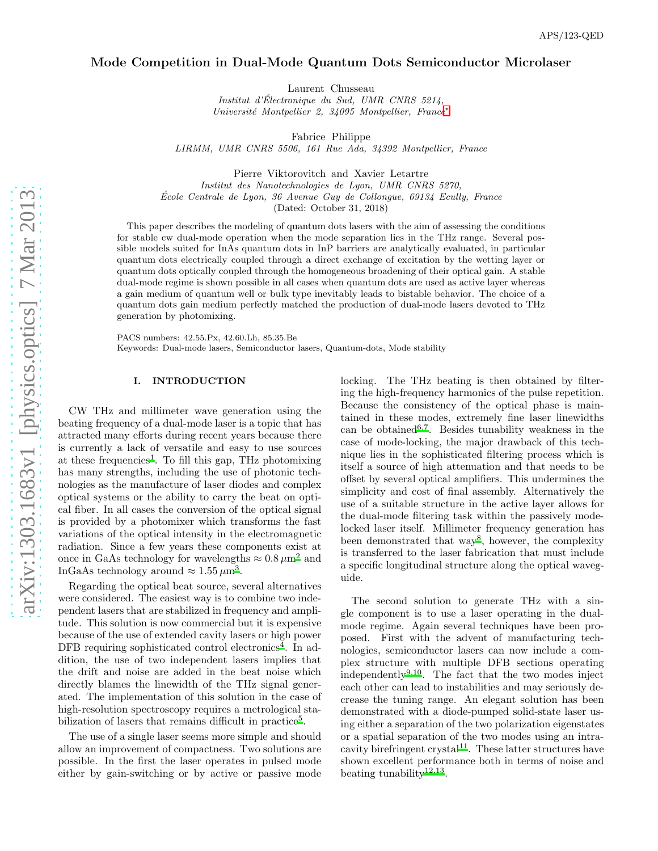# Mode Competition in Dual-Mode Quantum Dots Semiconductor Microlaser

Laurent Chusseau

*Institut d'Electronique du Sud, UMR CNRS 5214, ´ Universit´e Montpellier 2, 34095 Montpellier, France*[∗](#page-6-0)

Fabrice Philippe *LIRMM, UMR CNRS 5506, 161 Rue Ada, 34392 Montpellier, France*

Pierre Viktorovitch and Xavier Letartre *Institut des Nanotechnologies de Lyon, UMR CNRS 5270, École Centrale de Lyon, 36 Avenue Guy de Collongue, 69134 Ecully, France* (Dated: October 31, 2018)

This paper describes the modeling of quantum dots lasers with the aim of assessing the conditions for stable cw dual-mode operation when the mode separation lies in the THz range. Several possible models suited for InAs quantum dots in InP barriers are analytically evaluated, in particular quantum dots electrically coupled through a direct exchange of excitation by the wetting layer or quantum dots optically coupled through the homogeneous broadening of their optical gain. A stable dual-mode regime is shown possible in all cases when quantum dots are used as active layer whereas a gain medium of quantum well or bulk type inevitably leads to bistable behavior. The choice of a quantum dots gain medium perfectly matched the production of dual-mode lasers devoted to THz generation by photomixing.

PACS numbers: 42.55.Px, 42.60.Lh, 85.35.Be Keywords: Dual-mode lasers, Semiconductor lasers, Quantum-dots, Mode stability

## I. INTRODUCTION

CW THz and millimeter wave generation using the beating frequency of a dual-mode laser is a topic that has attracted many efforts during recent years because there is currently a lack of versatile and easy to use sources at these frequencies<sup>[1](#page-6-1)</sup>. To fill this gap, THz photomixing has many strengths, including the use of photonic technologies as the manufacture of laser diodes and complex optical systems or the ability to carry the beat on optical fiber. In all cases the conversion of the optical signal is provided by a photomixer which transforms the fast variations of the optical intensity in the electromagnetic radiation. Since a few years these components exist at once in GaAs technology for wavelengths  $\approx 0.8 \,\mu \mathrm{m}^2$  $\approx 0.8 \,\mu \mathrm{m}^2$  $\approx 0.8 \,\mu \mathrm{m}^2$  and InGaAs technology around  $\approx 1.55 \,\mu\text{m}^3$  $\approx 1.55 \,\mu\text{m}^3$ .

Regarding the optical beat source, several alternatives were considered. The easiest way is to combine two independent lasers that are stabilized in frequency and amplitude. This solution is now commercial but it is expensive because of the use of extended cavity lasers or high power DFB requiring sophisticated control electronics<sup>[4](#page-6-4)</sup>. In addition, the use of two independent lasers implies that the drift and noise are added in the beat noise which directly blames the linewidth of the THz signal generated. The implementation of this solution in the case of high-resolution spectroscopy requires a metrological sta-bilization of lasers that remains difficult in practice<sup>[5](#page-6-5)</sup>.

The use of a single laser seems more simple and should allow an improvement of compactness. Two solutions are possible. In the first the laser operates in pulsed mode either by gain-switching or by active or passive mode locking. The THz beating is then obtained by filtering the high-frequency harmonics of the pulse repetition. Because the consistency of the optical phase is maintained in these modes, extremely fine laser linewidths can be obtaine[d](#page-6-6)  $6,7$  $6,7$ . Besides tunability weakness in the case of mode-locking, the major drawback of this technique lies in the sophisticated filtering process which is itself a source of high attenuation and that needs to be offset by several optical amplifiers. This undermines the simplicity and cost of final assembly. Alternatively the use of a suitable structure in the active layer allows for the dual-mode filtering task within the passively modelocked laser itself. Millimeter frequency generation has been demonstrated that way<sup>[8](#page-6-8)</sup>, however, the complexity is transferred to the laser fabrication that must include a specific longitudinal structure along the optical waveguide.

The second solution to generate THz with a single component is to use a laser operating in the dualmode regime. Again several techniques have been proposed. First with the advent of manufacturing technologies, semiconductor lasers can now include a complex structure with multiple DFB sections operating independently<sup>[9](#page-6-9)[,10](#page-6-10)</sup>. The fact that the two modes inject each other can lead to instabilities and may seriously decrease the tuning range. An elegant solution has been demonstrated with a diode-pumped solid-state laser using either a separation of the two polarization eigenstates or a spatial separation of the two modes using an intra-cavity birefringent crystal<sup>[11](#page-6-11)</sup>. These latter structures have shown excellent performance both in terms of noise and beating tunability<sup>[12](#page-6-12)[,13](#page-6-13)</sup>.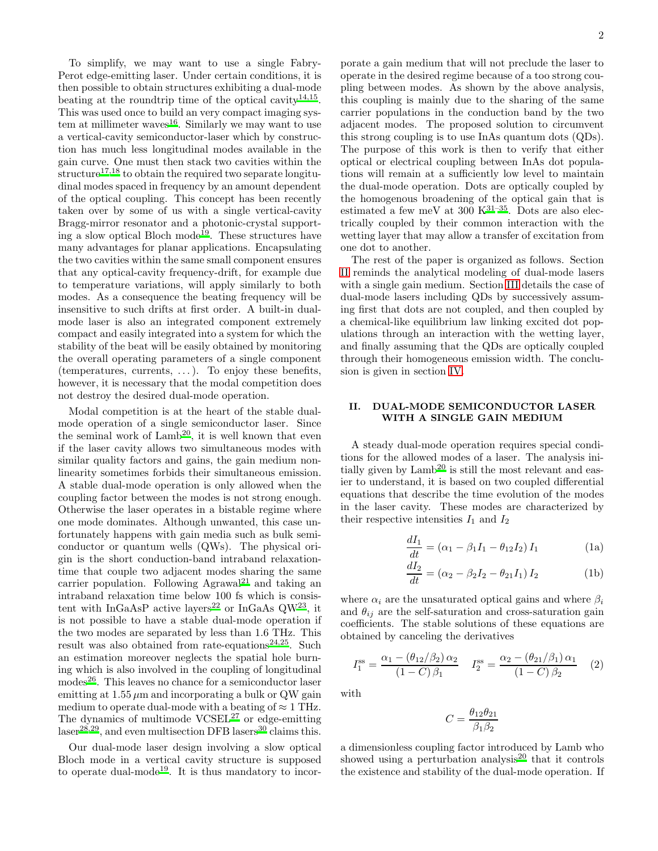To simplify, we may want to use a single Fabry-Perot edge-emitting laser. Under certain conditions, it is then possible to obtain structures exhibiting a dual-mode beating at the roundtrip time of the optical cavity<sup>[14](#page-6-14)[,15](#page-6-15)</sup>. This was used once to build an very compact imaging sys-tem at millimeter waves<sup>[16](#page-6-16)</sup>. Similarly we may want to use a vertical-cavity semiconductor-laser which by construction has much less longitudinal modes available in the gain curve. One must then stack two cavities within the structur[e](#page-6-17)<sup>17[,18](#page-6-18)</sup> to obtain the required two separate longitudinal modes spaced in frequency by an amount dependent of the optical coupling. This concept has been recently taken over by some of us with a single vertical-cavity Bragg-mirror resonator and a photonic-crystal support-ing a slow optical Bloch mode<sup>[19](#page-6-19)</sup>. These structures have many advantages for planar applications. Encapsulating the two cavities within the same small component ensures that any optical-cavity frequency-drift, for example due to temperature variations, will apply similarly to both modes. As a consequence the beating frequency will be insensitive to such drifts at first order. A built-in dualmode laser is also an integrated component extremely compact and easily integrated into a system for which the stability of the beat will be easily obtained by monitoring the overall operating parameters of a single component (temperatures, currents,  $\dots$ ). To enjoy these benefits, however, it is necessary that the modal competition does not destroy the desired dual-mode operation.

Modal competition is at the heart of the stable dualmode operation of a single semiconductor laser. Since the seminal work of  $\mathrm{Lamb}^{20}$  $\mathrm{Lamb}^{20}$  $\mathrm{Lamb}^{20}$ , it is well known that even if the laser cavity allows two simultaneous modes with similar quality factors and gains, the gain medium nonlinearity sometimes forbids their simultaneous emission. A stable dual-mode operation is only allowed when the coupling factor between the modes is not strong enough. Otherwise the laser operates in a bistable regime where one mode dominates. Although unwanted, this case unfortunately happens with gain media such as bulk semiconductor or quantum wells (QWs). The physical origin is the short conduction-band intraband relaxationtime that couple two adjacent modes sharing the same carrier population. Following Agrawal<sup>[21](#page-7-0)</sup> and taking an intraband relaxation time below 100 fs which is consis-tent with InGaAsP active layers<sup>[22](#page-7-1)</sup> or InGaAs  $\text{QW}^{23}$  $\text{QW}^{23}$  $\text{QW}^{23}$ , it is not possible to have a stable dual-mode operation if the two modes are separated by less than 1.6 THz. This result was also obtained from rate-equations<sup>[24](#page-7-3)[,25](#page-7-4)</sup>. Such an estimation moreover neglects the spatial hole burning which is also involved in the coupling of longitudinal mode[s](#page-7-5)<sup>26</sup>. This leaves no chance for a semiconductor laser emitting at  $1.55 \mu m$  and incorporating a bulk or QW gain medium to operate dual-mode with a beating of  $\approx 1$  THz. The dynamics of multimode VCSEL<sup>[27](#page-7-6)</sup> or edge-emitting  $laser<sup>28,29</sup>$  $laser<sup>28,29</sup>$  $laser<sup>28,29</sup>$  $laser<sup>28,29</sup>$ , and even multisection DFB lasers<sup>[30](#page-7-9)</sup> claims this.

Our dual-mode laser design involving a slow optical Bloch mode in a vertical cavity structure is supposed to operate dual-mode<sup>[19](#page-6-19)</sup>. It is thus mandatory to incorporate a gain medium that will not preclude the laser to operate in the desired regime because of a too strong coupling between modes. As shown by the above analysis, this coupling is mainly due to the sharing of the same carrier populations in the conduction band by the two adjacent modes. The proposed solution to circumvent this strong coupling is to use InAs quantum dots (QDs). The purpose of this work is then to verify that either optical or electrical coupling between InAs dot populations will remain at a sufficiently low level to maintain the dual-mode operation. Dots are optically coupled by the homogenous broadening of the optical gain that is estimated a few meV at  $300$  K<sup>[31](#page-7-10)[–35](#page-7-11)</sup>. Dots are also electrically coupled by their common interaction with the wetting layer that may allow a transfer of excitation from one dot to another.

The rest of the paper is organized as follows. Section [II](#page-1-0) reminds the analytical modeling of dual-mode lasers with a single gain medium. Section [III](#page-3-0) details the case of dual-mode lasers including QDs by successively assuming first that dots are not coupled, and then coupled by a chemical-like equilibrium law linking excited dot populations through an interaction with the wetting layer, and finally assuming that the QDs are optically coupled through their homogeneous emission width. The conclusion is given in section [IV.](#page-6-21)

## <span id="page-1-0"></span>II. DUAL-MODE SEMICONDUCTOR LASER WITH A SINGLE GAIN MEDIUM

A steady dual-mode operation requires special conditions for the allowed modes of a laser. The analysis initially given by  $\mathrm{Lamb}^{20}$  $\mathrm{Lamb}^{20}$  $\mathrm{Lamb}^{20}$  is still the most relevant and easier to understand, it is based on two coupled differential equations that describe the time evolution of the modes in the laser cavity. These modes are characterized by their respective intensities  $I_1$  and  $I_2$ 

$$
\frac{dI_1}{dt} = (\alpha_1 - \beta_1 I_1 - \theta_{12} I_2) I_1
$$
 (1a)

$$
\frac{dI_2}{dt} = (\alpha_2 - \beta_2 I_2 - \theta_{21} I_1) I_2
$$
 (1b)

where  $\alpha_i$  are the unsaturated optical gains and where  $\beta_i$ and  $\theta_{ij}$  are the self-saturation and cross-saturation gain coefficients. The stable solutions of these equations are obtained by canceling the derivatives

$$
I_1^{\rm ss} = \frac{\alpha_1 - (\theta_{12}/\beta_2)\,\alpha_2}{(1 - C)\,\beta_1} \quad I_2^{\rm ss} = \frac{\alpha_2 - (\theta_{21}/\beta_1)\,\alpha_1}{(1 - C)\,\beta_2} \quad (2)
$$

with

$$
C=\frac{\theta_{12}\theta_{21}}{\beta_1\beta_2}
$$

a dimensionless coupling factor introduced by Lamb who showed using a perturbation analysis<sup>[20](#page-6-20)</sup> that it controls the existence and stability of the dual-mode operation. If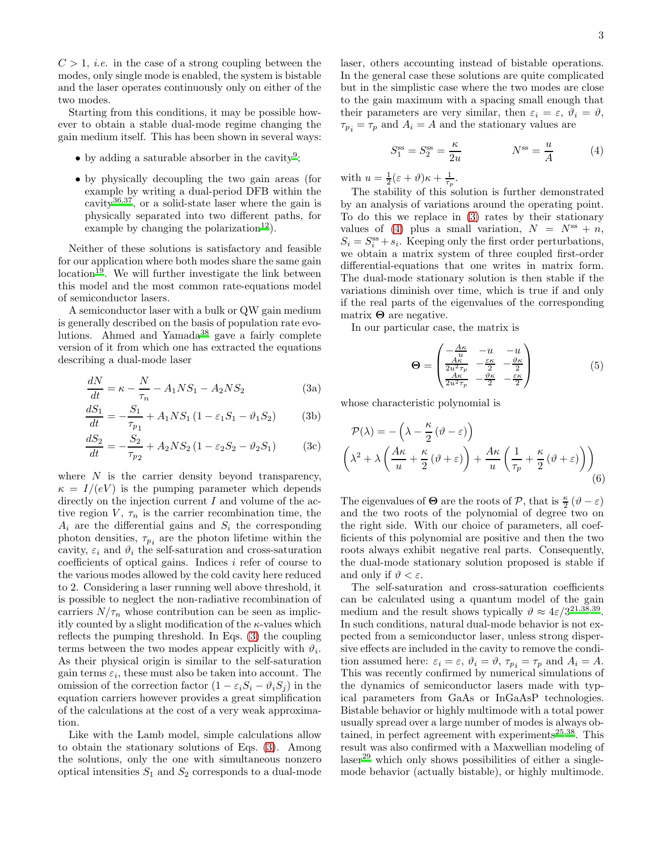$C > 1$ , *i.e.* in the case of a strong coupling between the modes, only single mode is enabled, the system is bistable and the laser operates continuously only on either of the two modes.

Starting from this conditions, it may be possible however to obtain a stable dual-mode regime changing the gain medium itself. This has been shown in several ways:

- by adding a saturable absorber in the cavity<sup>[9](#page-6-9)</sup>;
- by physically decoupling the two gain areas (for example by writing a dual-period DFB within the cavity<sup>[36](#page-7-12)[,37](#page-7-13)</sup>, or a solid-state laser where the gain is physically separated into two different paths, for example by changing the polarization<sup>[12](#page-6-12)</sup>).

Neither of these solutions is satisfactory and feasible for our application where both modes share the same gain  $location<sup>19</sup>$  $location<sup>19</sup>$  $location<sup>19</sup>$ . We will further investigate the link between this model and the most common rate-equations model of semiconductor lasers.

A semiconductor laser with a bulk or QW gain medium is generally described on the basis of population rate evo-lutions. Ahmed and Yamada<sup>[38](#page-7-14)</sup> gave a fairly complete version of it from which one has extracted the equations describing a dual-mode laser

<span id="page-2-0"></span>
$$
\frac{dN}{dt} = \kappa - \frac{N}{\tau_n} - A_1 N S_1 - A_2 N S_2 \tag{3a}
$$

$$
\frac{dS_1}{dt} = -\frac{S_1}{\tau_{p_1}} + A_1 N S_1 (1 - \varepsilon_1 S_1 - \vartheta_1 S_2)
$$
 (3b)

$$
\frac{dS_2}{dt} = -\frac{S_2}{\tau_{p_2}} + A_2 N S_2 (1 - \varepsilon_2 S_2 - \vartheta_2 S_1)
$$
 (3c)

where  $N$  is the carrier density beyond transparency,  $\kappa = I/(eV)$  is the pumping parameter which depends directly on the injection current  $I$  and volume of the active region  $V$ ,  $\tau_n$  is the carrier recombination time, the  $A_i$  are the differential gains and  $S_i$  the corresponding photon densities,  $\tau_{p_i}$  are the photon lifetime within the cavity,  $\varepsilon_i$  and  $\vartheta_i$  the self-saturation and cross-saturation coefficients of optical gains. Indices i refer of course to the various modes allowed by the cold cavity here reduced to 2. Considering a laser running well above threshold, it is possible to neglect the non-radiative recombination of carriers  $N/\tau_n$  whose contribution can be seen as implicitly counted by a slight modification of the  $\kappa$ -values which reflects the pumping threshold. In Eqs. [\(3\)](#page-2-0) the coupling terms between the two modes appear explicitly with  $\vartheta_i$ . As their physical origin is similar to the self-saturation gain terms  $\varepsilon_i$ , these must also be taken into account. The omission of the correction factor  $(1 - \varepsilon_i S_i - \vartheta_i S_j)$  in the equation carriers however provides a great simplification of the calculations at the cost of a very weak approximation.

Like with the Lamb model, simple calculations allow to obtain the stationary solutions of Eqs. [\(3\)](#page-2-0). Among the solutions, only the one with simultaneous nonzero optical intensities  $S_1$  and  $S_2$  corresponds to a dual-mode

laser, others accounting instead of bistable operations. In the general case these solutions are quite complicated but in the simplistic case where the two modes are close to the gain maximum with a spacing small enough that their parameters are very similar, then  $\varepsilon_i = \varepsilon$ ,  $\vartheta_i = \vartheta$ ,  $\tau_{p_i} = \tau_p$  and  $A_i = A$  and the stationary values are

<span id="page-2-1"></span>
$$
S_1^{\rm ss} = S_2^{\rm ss} = \frac{\kappa}{2u} \qquad \qquad N^{\rm ss} = \frac{u}{A} \qquad (4)
$$

with  $u = \frac{1}{2}(\varepsilon + \vartheta)\kappa + \frac{1}{\tau_p}$ .

The stability of this solution is further demonstrated by an analysis of variations around the operating point. To do this we replace in [\(3\)](#page-2-0) rates by their stationary values of [\(4\)](#page-2-1) plus a small variation,  $N = N^{ss} + n$ ,  $S_i = S_i^{\text{ss}} + s_i$ . Keeping only the first order perturbations, we obtain a matrix system of three coupled first-order differential-equations that one writes in matrix form. The dual-mode stationary solution is then stable if the variations diminish over time, which is true if and only if the real parts of the eigenvalues of the corresponding matrix  $\Theta$  are negative.

In our particular case, the matrix is

$$
\Theta = \begin{pmatrix}\n-\frac{Ak}{u} & -u & -u \\
\frac{Ak}{2u^2\tau_p} & -\frac{\varepsilon\kappa}{2} & -\frac{\vartheta\kappa}{2} \\
\frac{Ak}{2u^2\tau_p} & -\frac{\vartheta\kappa}{2} & -\frac{\varepsilon\kappa}{2}\n\end{pmatrix}
$$
\n(5)

whose characteristic polynomial is

$$
\mathcal{P}(\lambda) = -\left(\lambda - \frac{\kappa}{2}(\vartheta - \varepsilon)\right) \left(\lambda^2 + \lambda \left(\frac{A\kappa}{u} + \frac{\kappa}{2}(\vartheta + \varepsilon)\right) + \frac{A\kappa}{u}\left(\frac{1}{\tau_p} + \frac{\kappa}{2}(\vartheta + \varepsilon)\right)\right)
$$
\n(6)

The eigenvalues of  $\Theta$  are the roots of  $\mathcal{P}$ , that is  $\frac{\kappa}{2}(\vartheta - \varepsilon)$ and the two roots of the polynomial of degree two on the right side. With our choice of parameters, all coefficients of this polynomial are positive and then the two roots always exhibit negative real parts. Consequently, the dual-mode stationary solution proposed is stable if and only if  $\vartheta < \varepsilon$ .

The self-saturation and cross-saturation coefficients can be calculated using a quantum model of the gain medium and the result shows typically  $\vartheta \approx 4\varepsilon/3^{21,38,39}$  $\vartheta \approx 4\varepsilon/3^{21,38,39}$  $\vartheta \approx 4\varepsilon/3^{21,38,39}$  $\vartheta \approx 4\varepsilon/3^{21,38,39}$  $\vartheta \approx 4\varepsilon/3^{21,38,39}$ . In such conditions, natural dual-mode behavior is not expected from a semiconductor laser, unless strong dispersive effects are included in the cavity to remove the condition assumed here:  $\varepsilon_i = \varepsilon$ ,  $\vartheta_i = \vartheta$ ,  $\tau_{p_i} = \tau_p$  and  $A_i = A$ . This was recently confirmed by numerical simulations of the dynamics of semiconductor lasers made with typical parameters from GaAs or InGaAsP technologies. Bistable behavior or highly multimode with a total power usually spread over a large number of modes is always obtained, in perfect agreement with experiment[s](#page-7-4)<sup>25[,38](#page-7-14)</sup>. This result was also confirmed with a Maxwellian modeling of  $laser<sup>29</sup>$  $laser<sup>29</sup>$  $laser<sup>29</sup>$  which only shows possibilities of either a singlemode behavior (actually bistable), or highly multimode.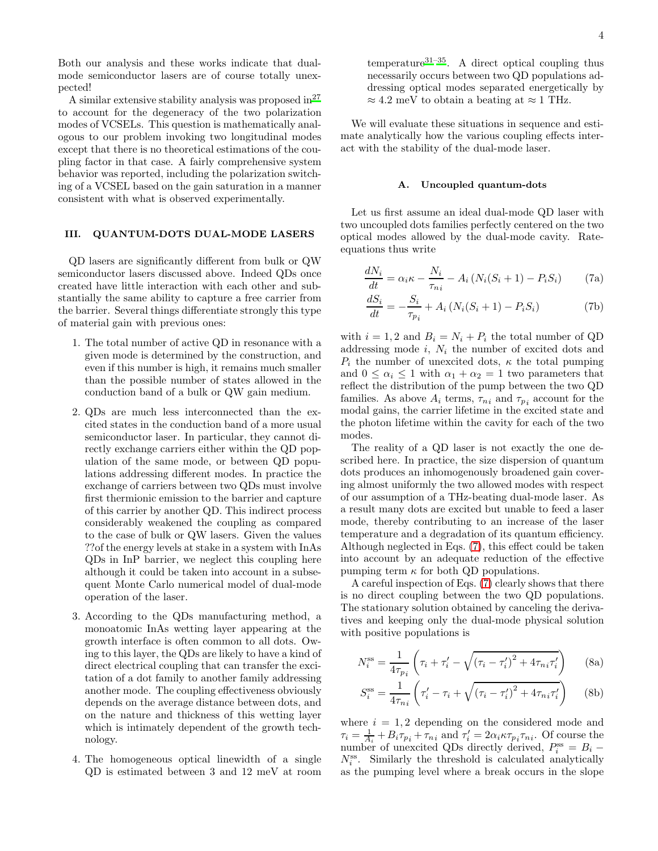Both our analysis and these works indicate that dualmode semiconductor lasers are of course totally unexpected!

A similar extensive stability analysis was proposed in  $27$ to account for the degeneracy of the two polarization modes of VCSELs. This question is mathematically analogous to our problem invoking two longitudinal modes except that there is no theoretical estimations of the coupling factor in that case. A fairly comprehensive system behavior was reported, including the polarization switching of a VCSEL based on the gain saturation in a manner consistent with what is observed experimentally.

## <span id="page-3-0"></span>III. QUANTUM-DOTS DUAL-MODE LASERS

QD lasers are significantly different from bulk or QW semiconductor lasers discussed above. Indeed QDs once created have little interaction with each other and substantially the same ability to capture a free carrier from the barrier. Several things differentiate strongly this type of material gain with previous ones:

- 1. The total number of active QD in resonance with a given mode is determined by the construction, and even if this number is high, it remains much smaller than the possible number of states allowed in the conduction band of a bulk or QW gain medium.
- 2. QDs are much less interconnected than the excited states in the conduction band of a more usual semiconductor laser. In particular, they cannot directly exchange carriers either within the QD population of the same mode, or between QD populations addressing different modes. In practice the exchange of carriers between two QDs must involve first thermionic emission to the barrier and capture of this carrier by another QD. This indirect process considerably weakened the coupling as compared to the case of bulk or QW lasers. Given the values ??of the energy levels at stake in a system with InAs QDs in InP barrier, we neglect this coupling here although it could be taken into account in a subsequent Monte Carlo numerical model of dual-mode operation of the laser.
- 3. According to the QDs manufacturing method, a monoatomic InAs wetting layer appearing at the growth interface is often common to all dots. Owing to this layer, the QDs are likely to have a kind of direct electrical coupling that can transfer the excitation of a dot family to another family addressing another mode. The coupling effectiveness obviously depends on the average distance between dots, and on the nature and thickness of this wetting layer which is intimately dependent of the growth technology.
- 4. The homogeneous optical linewidth of a single QD is estimated between 3 and 12 meV at room

temperature<sup>[31](#page-7-10)[–35](#page-7-11)</sup>. A direct optical coupling thus necessarily occurs between two QD populations addressing optical modes separated energetically by  $\approx 4.2$  meV to obtain a beating at  $\approx 1$  THz.

We will evaluate these situations in sequence and estimate analytically how the various coupling effects interact with the stability of the dual-mode laser.

### <span id="page-3-3"></span><span id="page-3-1"></span>A. Uncoupled quantum-dots

Let us first assume an ideal dual-mode QD laser with two uncoupled dots families perfectly centered on the two optical modes allowed by the dual-mode cavity. Rateequations thus write

$$
\frac{dN_i}{dt} = \alpha_i \kappa - \frac{N_i}{\tau_{ni}} - A_i \left( N_i (S_i + 1) - P_i S_i \right) \tag{7a}
$$

$$
\frac{dS_i}{dt} = -\frac{S_i}{\tau_{p_i}} + A_i \left( N_i (S_i + 1) - P_i S_i \right) \tag{7b}
$$

with  $i = 1, 2$  and  $B_i = N_i + P_i$  the total number of QD addressing mode  $i, N_i$  the number of excited dots and  $P_i$  the number of unexcited dots,  $\kappa$  the total pumping and  $0 \leq \alpha_i \leq 1$  with  $\alpha_1 + \alpha_2 = 1$  two parameters that reflect the distribution of the pump between the two QD families. As above  $A_i$  terms,  $\tau_{ni}$  and  $\tau_{p_i}$  account for the modal gains, the carrier lifetime in the excited state and the photon lifetime within the cavity for each of the two modes.

The reality of a QD laser is not exactly the one described here. In practice, the size dispersion of quantum dots produces an inhomogenously broadened gain covering almost uniformly the two allowed modes with respect of our assumption of a THz-beating dual-mode laser. As a result many dots are excited but unable to feed a laser mode, thereby contributing to an increase of the laser temperature and a degradation of its quantum efficiency. Although neglected in Eqs. [\(7\)](#page-3-1), this effect could be taken into account by an adequate reduction of the effective pumping term  $\kappa$  for both QD populations.

A careful inspection of Eqs. [\(7\)](#page-3-1) clearly shows that there is no direct coupling between the two QD populations. The stationary solution obtained by canceling the derivatives and keeping only the dual-mode physical solution with positive populations is

<span id="page-3-2"></span>
$$
N_i^{\rm ss} = \frac{1}{4\tau_{p_i}} \left( \tau_i + \tau_i' - \sqrt{(\tau_i - \tau_i')^2 + 4\tau_{ni}\tau_i'} \right) \tag{8a}
$$

$$
S_i^{\rm ss} = \frac{1}{4\tau_{ni}} \left( \tau_i' - \tau_i + \sqrt{(\tau_i - \tau_i')^2 + 4\tau_{ni}\tau_i'} \right) \quad \text{(8b)}
$$

where  $i = 1, 2$  depending on the considered mode and  $\tau_i = \frac{1}{A_i} + B_i \tau_{p_i} + \tau_{n_i}$  and  $\tau'_i = 2\alpha_i \kappa \tau_{p_i} \tau_{n_i}$ . Of course the number of unexcited QDs directly derived,  $P_i^{\text{ss}} = B_i N_i^{\text{ss}}$ . Similarly the threshold is calculated analytically as the pumping level where a break occurs in the slope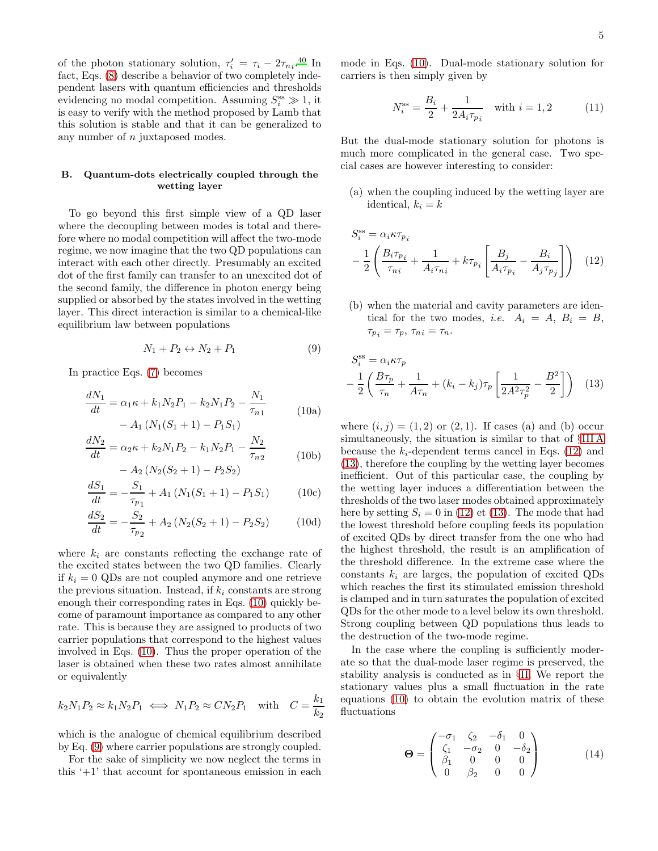of the photon stationary solution,  $\tau'_i = \tau_i - 2\tau_{ni}$ <sup>[40](#page-7-16)</sup> In fact, Eqs. [\(8\)](#page-3-2) describe a behavior of two completely independent lasers with quantum efficiencies and thresholds evidencing no modal competition. Assuming  $S_i^{\text{ss}} \gg 1$ , it is easy to verify with the method proposed by Lamb that this solution is stable and that it can be generalized to any number of n juxtaposed modes.

## <span id="page-4-4"></span>B. Quantum-dots electrically coupled through the wetting layer

To go beyond this first simple view of a QD laser where the decoupling between modes is total and therefore where no modal competition will affect the two-mode regime, we now imagine that the two QD populations can interact with each other directly. Presumably an excited dot of the first family can transfer to an unexcited dot of the second family, the difference in photon energy being supplied or absorbed by the states involved in the wetting layer. This direct interaction is similar to a chemical-like equilibrium law between populations

<span id="page-4-1"></span><span id="page-4-0"></span>
$$
N_1 + P_2 \leftrightarrow N_2 + P_1 \tag{9}
$$

In practice Eqs. [\(7\)](#page-3-1) becomes

$$
\frac{dN_1}{dt} = \alpha_1 \kappa + k_1 N_2 P_1 - k_2 N_1 P_2 - \frac{N_1}{\tau_{n_1}}
$$
\n
$$
- A_1 (N_1 (S_1 + 1) - P_1 S_1)
$$
\n(10a)

$$
\frac{dN_2}{dt} = \alpha_2 \kappa + k_2 N_1 P_2 - k_1 N_2 P_1 - \frac{N_2}{\tau_{n2}} \tag{10b}
$$

$$
- A_2 (N_2(S_2 + 1) - P_2 S_2)
$$

$$
\frac{dS_1}{dt} = -\frac{S_1}{\tau_{p_1}} + A_1 \left( N_1(S_1 + 1) - P_1 S_1 \right) \tag{10c}
$$

$$
\frac{dS_2}{dt} = -\frac{S_2}{\tau_{p_2}} + A_2 \left( N_2(S_2 + 1) - P_2 S_2 \right) \tag{10d}
$$

where  $k_i$  are constants reflecting the exchange rate of the excited states between the two QD families. Clearly if  $k_i = 0$  QDs are not coupled anymore and one retrieve the previous situation. Instead, if  $k_i$  constants are strong enough their corresponding rates in Eqs. [\(10\)](#page-4-0) quickly become of paramount importance as compared to any other rate. This is because they are assigned to products of two carrier populations that correspond to the highest values involved in Eqs. [\(10\)](#page-4-0). Thus the proper operation of the laser is obtained when these two rates almost annihilate or equivalently

$$
k_2N_1P_2 \approx k_1N_2P_1 \iff N_1P_2 \approx CN_2P_1
$$
 with  $C = \frac{k_1}{k_2}$ 

which is the analogue of chemical equilibrium described by Eq. [\(9\)](#page-4-1) where carrier populations are strongly coupled.

For the sake of simplicity we now neglect the terms in this '+1' that account for spontaneous emission in each mode in Eqs. [\(10\)](#page-4-0). Dual-mode stationary solution for carriers is then simply given by

$$
N_i^{\rm ss} = \frac{B_i}{2} + \frac{1}{2A_i \tau_{p_i}} \quad \text{with } i = 1, 2 \tag{11}
$$

But the dual-mode stationary solution for photons is much more complicated in the general case. Two special cases are however interesting to consider:

(a) when the coupling induced by the wetting layer are identical,  $k_i = k$ 

<span id="page-4-2"></span>
$$
S_i^{\text{ss}} = \alpha_i \kappa \tau_{p_i}
$$

$$
- \frac{1}{2} \left( \frac{B_i \tau_{p_i}}{\tau_{n_i}} + \frac{1}{A_i \tau_{n_i}} + k \tau_{p_i} \left[ \frac{B_j}{A_i \tau_{p_i}} - \frac{B_i}{A_j \tau_{p_j}} \right] \right) \tag{12}
$$

(b) when the material and cavity parameters are identical for the two modes, *i.e.*  $A_i = A$ ,  $B_i = B$ ,  $\tau_{p_i} = \tau_p, \tau_{ni} = \tau_n.$ 

<span id="page-4-3"></span>
$$
S_i^{\text{ss}} = \alpha_i \kappa \tau_p
$$
  
-  $\frac{1}{2} \left( \frac{B \tau_p}{\tau_n} + \frac{1}{A \tau_n} + (k_i - k_j) \tau_p \left[ \frac{1}{2A^2 \tau_p^2} - \frac{B^2}{2} \right] \right)$  (13)

where  $(i, j) = (1, 2)$  or  $(2, 1)$ . If cases (a) and (b) occur simultaneously, the situation is similar to that of §[III A](#page-3-3) because the  $k_i$ -dependent terms cancel in Eqs. [\(12\)](#page-4-2) and [\(13\)](#page-4-3), therefore the coupling by the wetting layer becomes inefficient. Out of this particular case, the coupling by the wetting layer induces a differentiation between the thresholds of the two laser modes obtained approximately here by setting  $S_i = 0$  in [\(12\)](#page-4-2) et [\(13\)](#page-4-3). The mode that had the lowest threshold before coupling feeds its population of excited QDs by direct transfer from the one who had the highest threshold, the result is an amplification of the threshold difference. In the extreme case where the constants  $k_i$  are larges, the population of excited QDs which reaches the first its stimulated emission threshold is clamped and in turn saturates the population of excited QDs for the other mode to a level below its own threshold. Strong coupling between QD populations thus leads to the destruction of the two-mode regime.

In the case where the coupling is sufficiently moderate so that the dual-mode laser regime is preserved, the stability analysis is conducted as in §[II.](#page-1-0) We report the stationary values plus a small fluctuation in the rate equations [\(10\)](#page-4-0) to obtain the evolution matrix of these fluctuations

$$
\Theta = \begin{pmatrix}\n-\sigma_1 & \zeta_2 & -\delta_1 & 0 \\
\zeta_1 & -\sigma_2 & 0 & -\delta_2 \\
\beta_1 & 0 & 0 & 0 \\
0 & \beta_2 & 0 & 0\n\end{pmatrix}
$$
\n(14)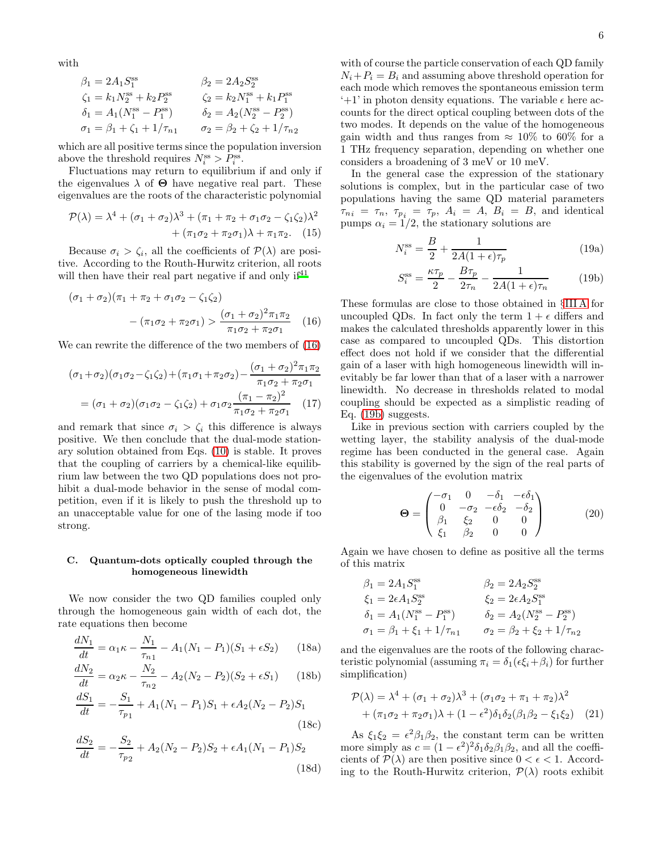with

$$
\beta_1 = 2A_1 S_1^{\text{ss}} \qquad \beta_2 = 2A_2 S_2^{\text{ss}} \n\zeta_1 = k_1 N_2^{\text{ss}} + k_2 P_2^{\text{ss}} \qquad \zeta_2 = k_2 N_1^{\text{ss}} + k_1 P_1^{\text{ss}} \n\delta_1 = A_1 (N_1^{\text{ss}} - P_1^{\text{ss}}) \qquad \delta_2 = A_2 (N_2^{\text{ss}} - P_2^{\text{ss}}) \n\sigma_1 = \beta_1 + \zeta_1 + 1/\tau_{n_1} \qquad \sigma_2 = \beta_2 + \zeta_2 + 1/\tau_{n_2}
$$

which are all positive terms since the population inversion above the threshold requires  $N_i^{\text{ss}} > P_i^{\text{ss}}$ .

Fluctuations may return to equilibrium if and only if the eigenvalues  $\lambda$  of  $\Theta$  have negative real part. These eigenvalues are the roots of the characteristic polynomial

$$
\mathcal{P}(\lambda) = \lambda^4 + (\sigma_1 + \sigma_2)\lambda^3 + (\pi_1 + \pi_2 + \sigma_1\sigma_2 - \zeta_1\zeta_2)\lambda^2 + (\pi_1\sigma_2 + \pi_2\sigma_1)\lambda + \pi_1\pi_2.
$$
 (15)

Because  $\sigma_i > \zeta_i$ , all the coefficients of  $\mathcal{P}(\lambda)$  are positive. According to the Routh-Hurwitz criterion, all roots will then have their real part negative if and only  $if<sup>41</sup>$  $if<sup>41</sup>$  $if<sup>41</sup>$ 

$$
(\sigma_1 + \sigma_2)(\pi_1 + \pi_2 + \sigma_1 \sigma_2 - \zeta_1 \zeta_2)
$$

$$
- (\pi_1 \sigma_2 + \pi_2 \sigma_1) > \frac{(\sigma_1 + \sigma_2)^2 \pi_1 \pi_2}{\pi_1 \sigma_2 + \pi_2 \sigma_1} \quad (16)
$$

We can rewrite the difference of the two members of [\(16\)](#page-5-0)

$$
(\sigma_1 + \sigma_2)(\sigma_1 \sigma_2 - \zeta_1 \zeta_2) + (\pi_1 \sigma_1 + \pi_2 \sigma_2) - \frac{(\sigma_1 + \sigma_2)^2 \pi_1 \pi_2}{\pi_1 \sigma_2 + \pi_2 \sigma_1}
$$

$$
= (\sigma_1 + \sigma_2)(\sigma_1 \sigma_2 - \zeta_1 \zeta_2) + \sigma_1 \sigma_2 \frac{(\pi_1 - \pi_2)^2}{\pi_1 \sigma_2 + \pi_2 \sigma_1} \quad (17)
$$

and remark that since  $\sigma_i > \zeta_i$  this difference is always positive. We then conclude that the dual-mode stationary solution obtained from Eqs. [\(10\)](#page-4-0) is stable. It proves that the coupling of carriers by a chemical-like equilibrium law between the two QD populations does not prohibit a dual-mode behavior in the sense of modal competition, even if it is likely to push the threshold up to an unacceptable value for one of the lasing mode if too strong.

## C. Quantum-dots optically coupled through the homogeneous linewidth

We now consider the two QD families coupled only through the homogeneous gain width of each dot, the rate equations then become

$$
\frac{dN_1}{dt} = \alpha_1 \kappa - \frac{N_1}{\tau_{n1}} - A_1 (N_1 - P_1)(S_1 + \epsilon S_2)
$$
 (18a)

$$
\frac{dN_2}{dt} = \alpha_2 \kappa - \frac{N_2}{\tau_{n2}} - A_2 (N_2 - P_2)(S_2 + \epsilon S_1)
$$
 (18b)

$$
\frac{aS_1}{dt} = -\frac{S_1}{\tau_{p_1}} + A_1(N_1 - P_1)S_1 + \epsilon A_2(N_2 - P_2)S_1
$$
\n(18c)

$$
\frac{dS_2}{dt} = -\frac{S_2}{\tau_{p_2}} + A_2(N_2 - P_2)S_2 + \epsilon A_1(N_1 - P_1)S_2
$$
\n(18d)

with of course the particle conservation of each QD family  $N_i + P_i = B_i$  and assuming above threshold operation for each mode which removes the spontaneous emission term '+1' in photon density equations. The variable  $\epsilon$  here accounts for the direct optical coupling between dots of the two modes. It depends on the value of the homogeneous gain width and thus ranges from  $\approx 10\%$  to 60% for a 1 THz frequency separation, depending on whether one considers a broadening of 3 meV or 10 meV.

In the general case the expression of the stationary solutions is complex, but in the particular case of two populations having the same QD material parameters  $\tau_{n i} = \tau_{n}, \tau_{p i} = \tau_{p}, A_{i} = A, B_{i} = B, \text{ and identical}$ pumps  $\alpha_i = 1/2$ , the stationary solutions are

$$
N_i^{\rm ss} = \frac{B}{2} + \frac{1}{2A(1+\epsilon)\tau_p} \tag{19a}
$$

<span id="page-5-1"></span>
$$
S_i^{\rm ss} = \frac{\kappa \tau_p}{2} - \frac{B \tau_p}{2\tau_n} - \frac{1}{2A(1+\epsilon)\tau_n} \tag{19b}
$$

<span id="page-5-0"></span>These formulas are close to those obtained in §[III A](#page-3-3) for uncoupled QDs. In fact only the term  $1 + \epsilon$  differs and makes the calculated thresholds apparently lower in this case as compared to uncoupled QDs. This distortion effect does not hold if we consider that the differential gain of a laser with high homogeneous linewidth will inevitably be far lower than that of a laser with a narrower linewidth. No decrease in thresholds related to modal coupling should be expected as a simplistic reading of Eq. [\(19b\)](#page-5-1) suggests.

<span id="page-5-2"></span>Like in previous section with carriers coupled by the wetting layer, the stability analysis of the dual-mode regime has been conducted in the general case. Again this stability is governed by the sign of the real parts of the eigenvalues of the evolution matrix

$$
\Theta = \begin{pmatrix}\n-\sigma_1 & 0 & -\delta_1 & -\epsilon \delta_1 \\
0 & -\sigma_2 & -\epsilon \delta_2 & -\delta_2 \\
\beta_1 & \xi_2 & 0 & 0 \\
\xi_1 & \beta_2 & 0 & 0\n\end{pmatrix} (20)
$$

Again we have chosen to define as positive all the terms of this matrix

$$
\beta_1 = 2A_1 S_1^{\text{ss}} \qquad \beta_2 = 2A_2 S_2^{\text{ss}} \n\xi_1 = 2\epsilon A_1 S_2^{\text{ss}} \qquad \xi_2 = 2\epsilon A_2 S_1^{\text{ss}} \n\delta_1 = A_1 (N_1^{\text{ss}} - P_1^{\text{ss}}) \qquad \delta_2 = A_2 (N_2^{\text{ss}} - P_2^{\text{ss}}) \n\sigma_1 = \beta_1 + \xi_1 + 1/\tau_{n_1} \qquad \sigma_2 = \beta_2 + \xi_2 + 1/\tau_{n_2}
$$

and the eigenvalues are the roots of the following characteristic polynomial (assuming  $\pi_i = \delta_1(\epsilon \xi_i + \beta_i)$  for further simplification)

$$
\mathcal{P}(\lambda) = \lambda^4 + (\sigma_1 + \sigma_2)\lambda^3 + (\sigma_1\sigma_2 + \pi_1 + \pi_2)\lambda^2
$$
  
+ 
$$
(\pi_1\sigma_2 + \pi_2\sigma_1)\lambda + (1 - \epsilon^2)\delta_1\delta_2(\beta_1\beta_2 - \xi_1\xi_2)
$$
 (21)

As  $\xi_1 \xi_2 = \epsilon^2 \beta_1 \beta_2$ , the constant term can be written more simply as  $c = (1 - \epsilon^2)^2 \delta_1 \delta_2 \beta_1 \beta_2$ , and all the coefficients of  $\mathcal{P}(\lambda)$  are then positive since  $0 < \epsilon < 1$ . According to the Routh-Hurwitz criterion,  $\mathcal{P}(\lambda)$  roots exhibit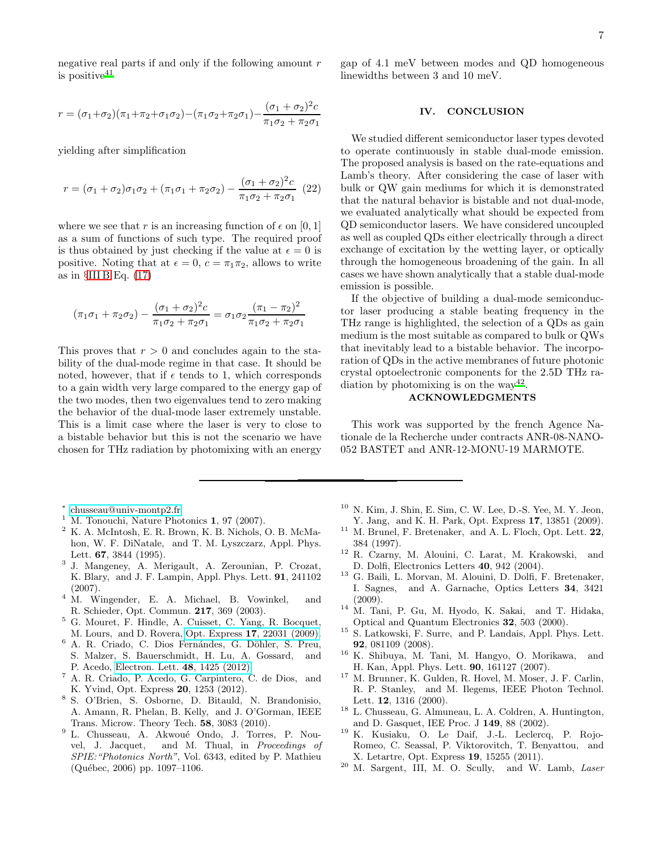negative real parts if and only if the following amount  $r$ is positive $41$ 

$$
r = (\sigma_1 + \sigma_2)(\pi_1 + \pi_2 + \sigma_1 \sigma_2) - (\pi_1 \sigma_2 + \pi_2 \sigma_1) - \frac{(\sigma_1 + \sigma_2)^2 c}{\pi_1 \sigma_2 + \pi_2 \sigma_1}
$$

yielding after simplification

$$
r = (\sigma_1 + \sigma_2)\sigma_1\sigma_2 + (\pi_1\sigma_1 + \pi_2\sigma_2) - \frac{(\sigma_1 + \sigma_2)^2c}{\pi_1\sigma_2 + \pi_2\sigma_1}
$$
 (22)

where we see that r is an increasing function of  $\epsilon$  on [0, 1] as a sum of functions of such type. The required proof is thus obtained by just checking if the value at  $\epsilon = 0$  is positive. Noting that at  $\epsilon = 0$ ,  $c = \pi_1 \pi_2$ , allows to write as in  $\S$ [III B](#page-4-4) Eq.  $(17)$ 

$$
(\pi_1 \sigma_1 + \pi_2 \sigma_2) - \frac{(\sigma_1 + \sigma_2)^2 c}{\pi_1 \sigma_2 + \pi_2 \sigma_1} = \sigma_1 \sigma_2 \frac{(\pi_1 - \pi_2)^2}{\pi_1 \sigma_2 + \pi_2 \sigma_1}
$$

This proves that  $r > 0$  and concludes again to the stability of the dual-mode regime in that case. It should be noted, however, that if  $\epsilon$  tends to 1, which corresponds to a gain width very large compared to the energy gap of the two modes, then two eigenvalues tend to zero making the behavior of the dual-mode laser extremely unstable. This is a limit case where the laser is very to close to a bistable behavior but this is not the scenario we have chosen for THz radiation by photomixing with an energy

gap of 4.1 meV between modes and QD homogeneous linewidths between 3 and 10 meV.

#### <span id="page-6-21"></span>IV. CONCLUSION

We studied different semiconductor laser types devoted to operate continuously in stable dual-mode emission. The proposed analysis is based on the rate-equations and Lamb's theory. After considering the case of laser with bulk or QW gain mediums for which it is demonstrated that the natural behavior is bistable and not dual-mode, we evaluated analytically what should be expected from QD semiconductor lasers. We have considered uncoupled as well as coupled QDs either electrically through a direct exchange of excitation by the wetting layer, or optically through the homogeneous broadening of the gain. In all cases we have shown analytically that a stable dual-mode emission is possible.

If the objective of building a dual-mode semiconductor laser producing a stable beating frequency in the THz range is highlighted, the selection of a QDs as gain medium is the most suitable as compared to bulk or QWs that inevitably lead to a bistable behavior. The incorporation of QDs in the active membranes of future photonic crystal optoelectronic components for the 2.5D THz ra-diation by photomixing is on the way<sup>[42](#page-7-18)</sup>.

## ACKNOWLEDGMENTS

This work was supported by the french Agence Nationale de la Recherche under contracts ANR-08-NANO-052 BASTET and ANR-12-MONU-19 MARMOTE.

- ∗ [chusseau@univ-montp2.fr](mailto:chusseau@univ-montp2.fr)
- <span id="page-6-1"></span><span id="page-6-0"></span><sup>1</sup> M. Tonouchi, Nature Photonics 1, 97 (2007).
- <span id="page-6-2"></span><sup>2</sup> K. A. McIntosh, E. R. Brown, K. B. Nichols, O. B. McMahon, W. F. DiNatale, and T. M. Lyszczarz, Appl. Phys. Lett. 67, 3844 (1995).
- <span id="page-6-3"></span>3 J. Mangeney, A. Merigault, A. Zerounian, P. Crozat, K. Blary, and J. F. Lampin, Appl. Phys. Lett. 91, 241102 (2007).
- <span id="page-6-4"></span><sup>4</sup> M. Wingender, E. A. Michael, B. Vowinkel, and R. Schieder, Opt. Commun. 217, 369 (2003).
- <span id="page-6-5"></span><sup>5</sup> G. Mouret, F. Hindle, A. Cuisset, C. Yang, R. Bocquet, M. Lours, and D. Rovera, Opt. Express 17[, 22031 \(2009\).](http://dx.doi.org/10.1364/OE.17.022031)
- <span id="page-6-6"></span><sup>6</sup> A. R. Criado, C. Dios Fernándes, G. Döhler, S. Preu, S. Malzer, S. Bauerschmidt, H. Lu, A. Gossard, and P. Acedo, [Electron. Lett.](http://dx.doi.org/10.1049/el.2012.3158) 48, 1425 (2012).
- <span id="page-6-7"></span><sup>7</sup> A. R. Criado, P. Acedo, G. Carpintero, C. de Dios, and K. Yvind, Opt. Express 20, 1253 (2012).
- <span id="page-6-8"></span>8 S. O'Brien, S. Osborne, D. Bitauld, N. Brandonisio, A. Amann, R. Phelan, B. Kelly, and J. O'Gorman, IEEE Trans. Microw. Theory Tech. 58, 3083 (2010).
- <span id="page-6-9"></span><sup>9</sup> L. Chusseau, A. Akwoué Ondo, J. Torres, P. Nouvel, J. Jacquet, and M. Thual, in *Proceedings of SPIE:"Photonics North"*, Vol. 6343, edited by P. Mathieu (Qu´ebec, 2006) pp. 1097–1106.
- <span id="page-6-10"></span> $10$  N. Kim, J. Shin, E. Sim, C. W. Lee, D.-S. Yee, M. Y. Jeon, Y. Jang, and K. H. Park, Opt. Express 17, 13851 (2009).
- <span id="page-6-11"></span><sup>11</sup> M. Brunel, F. Bretenaker, and A. L. Floch, Opt. Lett. 22, 384 (1997).
- <span id="page-6-12"></span><sup>12</sup> R. Czarny, M. Alouini, C. Larat, M. Krakowski, and D. Dolfi, Electronics Letters 40, 942 (2004).
- <span id="page-6-13"></span><sup>13</sup> G. Baili, L. Morvan, M. Alouini, D. Dolfi, F. Bretenaker, I. Sagnes, and A. Garnache, Optics Letters 34, 3421 (2009).
- <span id="page-6-14"></span><sup>14</sup> M. Tani, P. Gu, M. Hyodo, K. Sakai, and T. Hidaka, Optical and Quantum Electronics 32, 503 (2000).
- <span id="page-6-15"></span><sup>15</sup> S. Latkowski, F. Surre, and P. Landais, Appl. Phys. Lett. 92, 081109 (2008).
- <span id="page-6-16"></span><sup>16</sup> K. Shibuya, M. Tani, M. Hangyo, O. Morikawa, and H. Kan, Appl. Phys. Lett. 90, 161127 (2007).
- <span id="page-6-17"></span><sup>17</sup> M. Brunner, K. Gulden, R. Hovel, M. Moser, J. F. Carlin, R. P. Stanley, and M. Ilegems, IEEE Photon Technol. Lett. 12, 1316 (2000).
- <span id="page-6-18"></span><sup>18</sup> L. Chusseau, G. Almuneau, L. A. Coldren, A. Huntington, and D. Gasquet, IEE Proc. J 149, 88 (2002).
- <span id="page-6-19"></span><sup>19</sup> K. Kusiaku, O. Le Daif, J.-L. Leclercq, P. Rojo-Romeo, C. Seassal, P. Viktorovitch, T. Benyattou, and X. Letartre, Opt. Express 19, 15255 (2011).
- <span id="page-6-20"></span><sup>20</sup> M. Sargent, III, M. O. Scully, and W. Lamb, *Laser*